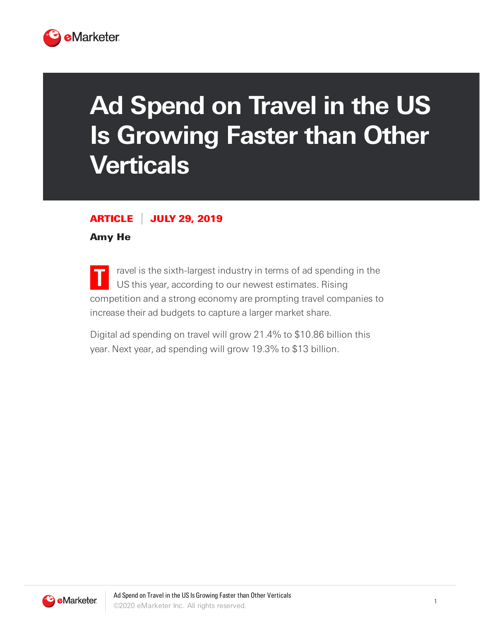

## **Ad Spend on Travel in the US Is Growing Faster than Other Verticals**

## ARTICLE JULY 29, 2019

Amy He

**T** ravel is the sixth-largest industry in terms of ad spending in the US this year, according to our newest estimates. Rising competition and a strong economy are prompting travel companies to increase their ad budgets to capture a larger market share.

Digital ad spending on travel will grow 21.4% to \$10.86 billion this year. Next year, ad spending will grow 19.3% to \$13 billion.

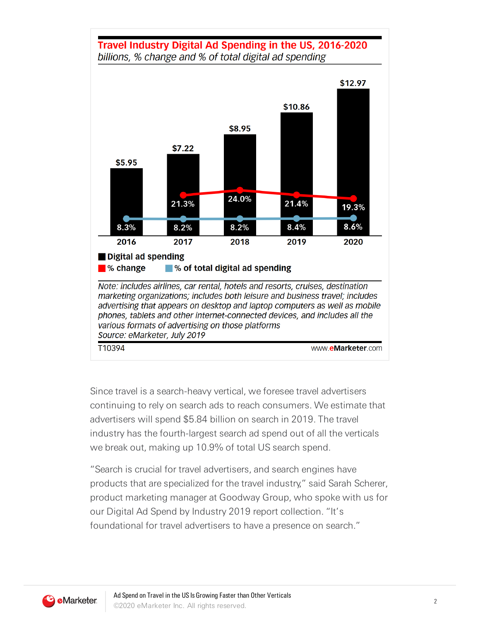



Since travel is a search-heavy vertical, we foresee travel advertisers continuing to rely on search ads to reach consumers. We estimate that advertisers will spend \$5.84 billion on search in 2019. The travel industry has the fourth-largest search ad spend out of all the verticals we break out, making up 10.9% of total US search spend.

"Search is crucial for travel advertisers, and search engines have products that are specialized for the travel industry," said Sarah Scherer, product marketing manager at Goodway Group, who spoke with us for our Digital Ad Spend by Industry 2019 report collection. "It's foundational for travel advertisers to have a presence on search."

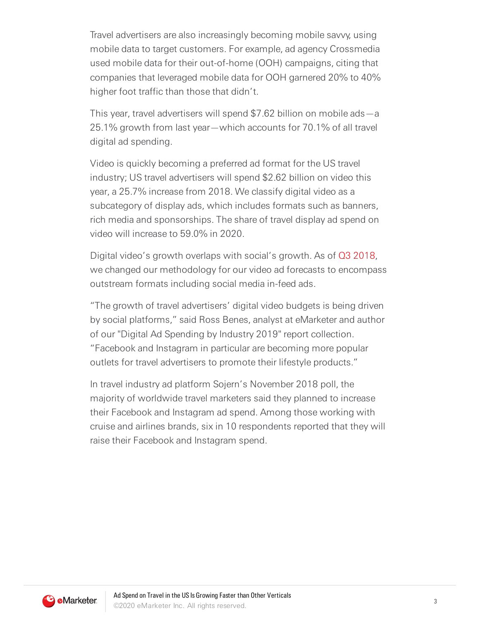Travel advertisers are also increasingly becoming mobile savvy, using mobile data to target customers. For example, ad agency Crossmedia used mobile data for their out-of-home (OOH) campaigns, citing that companies that leveraged mobile data for OOH garnered 20% to 40% higher foot traffic than those that didn't.

This year, travel advertisers will spend \$7.62 billion on mobile ads—a 25.1% growth from last year—which accounts for 70.1% of all travel digital ad spending.

Video is quickly becoming a preferred ad format for the US travel industry; US travel advertisers will spend \$2.62 billion on video this year, a 25.7% increase from 2018. We classify digital video as a subcategory of display ads, which includes formats such as banners, rich media and sponsorships. The share of travel display ad spend on video will increase to 59.0% in 2020.

Digital video's growth overlaps with social's growth. As of Q3 [2018,](https://content-na1.emarketer.com/q3-2018-digital-video-trends) we changed our methodology for our video ad forecasts to encompass outstream formats including social media in-feed ads.

"The growth of travel advertisers' digital video budgets is being driven by social platforms," said Ross Benes, analyst at eMarketer and author of our "Digital Ad Spending by Industry 2019" report collection. "Facebook and Instagram in particular are becoming more popular outlets for travel advertisers to promote their lifestyle products."

In travel industry ad platform Sojern's November 2018 poll, the majority of worldwide travel marketers said they planned to increase their Facebook and Instagram ad spend. Among those working with cruise and airlines brands, six in 10 respondents reported that they will raise their Facebook and Instagram spend.

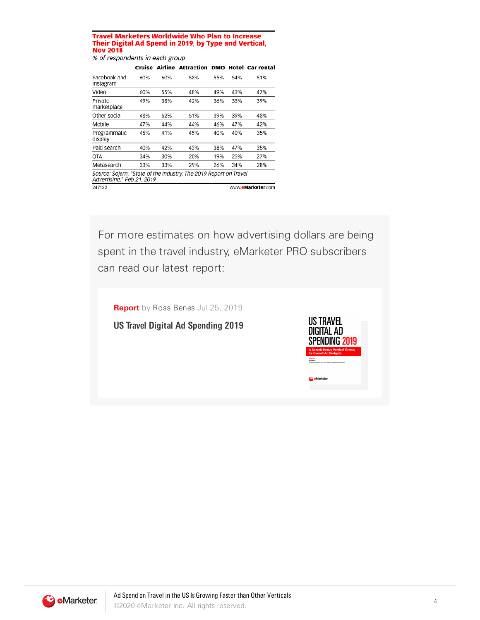## **Travel Marketers Worldwide Who Plan to Increase** Their Digital Ad Spend in 2019, by Type and Vertical, **Nov 2018**

% of respondents in each group

|                                                                                                 | Cruise            | Airline | <b>Attraction</b> | DMO |     | Hotel Car rental |
|-------------------------------------------------------------------------------------------------|-------------------|---------|-------------------|-----|-----|------------------|
| Facebook and<br>Instagram                                                                       | 60%               | 60%     | 58%               | 55% | 54% | 51%              |
| Video                                                                                           | 60%               | 55%     | 48%               | 49% | 43% | 47%              |
| Private<br>marketplace                                                                          | 49%               | 38%     | 42%               | 36% | 33% | 39%              |
| Other social                                                                                    | 48%               | 52%     | 51%               | 39% | 39% | 48%              |
| Mobile                                                                                          | 47%               | 44%     | 44%               | 46% | 47% | 42%              |
| Programmatic<br>display                                                                         | 45%               | 41%     | 45%               | 40% | 40% | 35%              |
| Paid search                                                                                     | 40%               | 42%     | 43%               | 38% | 47% | 35%              |
| <b>OTA</b>                                                                                      | 34%               | 30%     | 20%               | 19% | 25% | 27%              |
| Metasearch                                                                                      | 33%               | 33%     | 29%               | 26% | 34% | 28%              |
| Source: Sojern, "State of the Industry: The 2019 Report on Travel<br>Advertising," Feb 21, 2019 |                   |         |                   |     |     |                  |
| 247122                                                                                          | www.eMarketer.com |         |                   |     |     |                  |

For more estimates on how advertising dollars are being spent in the travel industry, eMarketer PRO subscribers can read our latest report: